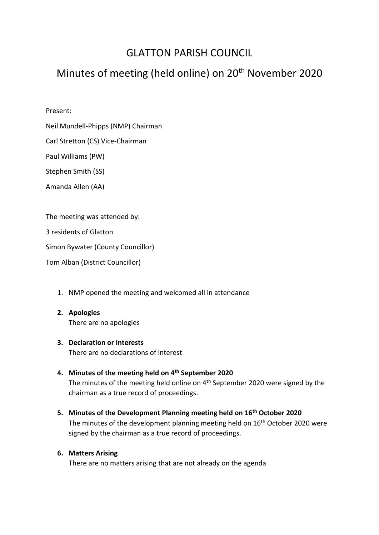# GLATTON PARISH COUNCIL

# Minutes of meeting (held online) on 20<sup>th</sup> November 2020

## Present:

Neil Mundell-Phipps (NMP) Chairman

Carl Stretton (CS) Vice-Chairman

Paul Williams (PW)

Stephen Smith (SS)

Amanda Allen (AA)

The meeting was attended by:

3 residents of Glatton

Simon Bywater (County Councillor)

Tom Alban (District Councillor)

- 1. NMP opened the meeting and welcomed all in attendance
- **2. Apologies** There are no apologies

# **3. Declaration or Interests**

There are no declarations of interest

- **4. Minutes of the meeting held on 4th September 2020** The minutes of the meeting held online on 4<sup>th</sup> September 2020 were signed by the chairman as a true record of proceedings.
- **5. Minutes of the Development Planning meeting held on 16th October 2020** The minutes of the development planning meeting held on 16<sup>th</sup> October 2020 were signed by the chairman as a true record of proceedings.

## **6. Matters Arising**

There are no matters arising that are not already on the agenda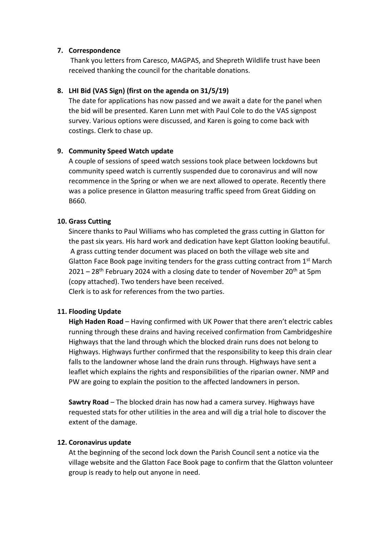#### **7. Correspondence**

Thank you letters from Caresco, MAGPAS, and Shepreth Wildlife trust have been received thanking the council for the charitable donations.

## **8. LHI Bid (VAS Sign) (first on the agenda on 31/5/19)**

The date for applications has now passed and we await a date for the panel when the bid will be presented. Karen Lunn met with Paul Cole to do the VAS signpost survey. Various options were discussed, and Karen is going to come back with costings. Clerk to chase up.

## **9. Community Speed Watch update**

A couple of sessions of speed watch sessions took place between lockdowns but community speed watch is currently suspended due to coronavirus and will now recommence in the Spring or when we are next allowed to operate. Recently there was a police presence in Glatton measuring traffic speed from Great Gidding on B660.

## **10. Grass Cutting**

Sincere thanks to Paul Williams who has completed the grass cutting in Glatton for the past six years. His hard work and dedication have kept Glatton looking beautiful. A grass cutting tender document was placed on both the village web site and Glatton Face Book page inviting tenders for the grass cutting contract from  $1<sup>st</sup>$  March  $2021 - 28$ <sup>th</sup> February 2024 with a closing date to tender of November 20<sup>th</sup> at 5pm (copy attached). Two tenders have been received. Clerk is to ask for references from the two parties.

## **11. Flooding Update**

**High Haden Road** – Having confirmed with UK Power that there aren't electric cables running through these drains and having received confirmation from Cambridgeshire Highways that the land through which the blocked drain runs does not belong to Highways. Highways further confirmed that the responsibility to keep this drain clear falls to the landowner whose land the drain runs through. Highways have sent a leaflet which explains the rights and responsibilities of the riparian owner. NMP and PW are going to explain the position to the affected landowners in person.

**Sawtry Road** – The blocked drain has now had a camera survey. Highways have requested stats for other utilities in the area and will dig a trial hole to discover the extent of the damage.

#### **12. Coronavirus update**

At the beginning of the second lock down the Parish Council sent a notice via the village website and the Glatton Face Book page to confirm that the Glatton volunteer group is ready to help out anyone in need.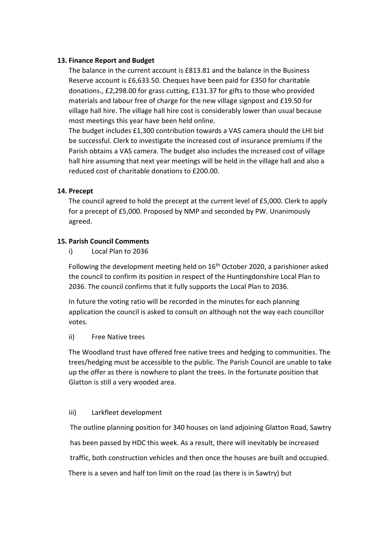#### **13. Finance Report and Budget**

The balance in the current account is £813.81 and the balance in the Business Reserve account is £6,633.50. Cheques have been paid for £350 for charitable donations., £2,298.00 for grass cutting, £131.37 for gifts to those who provided materials and labour free of charge for the new village signpost and £19.50 for village hall hire. The village hall hire cost is considerably lower than usual because most meetings this year have been held online.

The budget includes £1,300 contribution towards a VAS camera should the LHI bid be successful. Clerk to investigate the increased cost of insurance premiums if the Parish obtains a VAS camera. The budget also includes the increased cost of village hall hire assuming that next year meetings will be held in the village hall and also a reduced cost of charitable donations to £200.00.

## **14. Precept**

The council agreed to hold the precept at the current level of £5,000. Clerk to apply for a precept of £5,000. Proposed by NMP and seconded by PW. Unanimously agreed.

## **15. Parish Council Comments**

i) Local Plan to 2036

Following the development meeting held on 16<sup>th</sup> October 2020, a parishioner asked the council to confirm its position in respect of the Huntingdonshire Local Plan to 2036. The council confirms that it fully supports the Local Plan to 2036.

In future the voting ratio will be recorded in the minutes for each planning application the council is asked to consult on although not the way each councillor votes.

#### ii) Free Native trees

The Woodland trust have offered free native trees and hedging to communities. The trees/hedging must be accessible to the public. The Parish Council are unable to take up the offer as there is nowhere to plant the trees. In the fortunate position that Glatton is still a very wooded area.

#### iii) Larkfleet development

 The outline planning position for 340 houses on land adjoining Glatton Road, Sawtry has been passed by HDC this week. As a result, there will inevitably be increased traffic, both construction vehicles and then once the houses are built and occupied. There is a seven and half ton limit on the road (as there is in Sawtry) but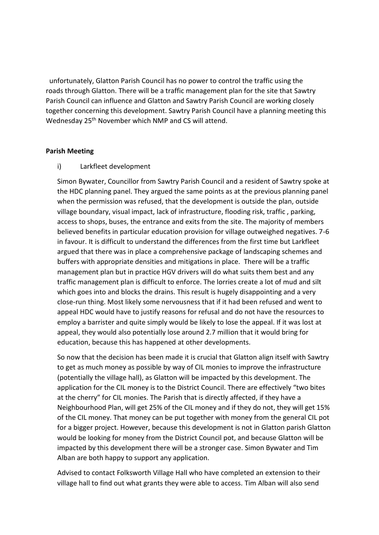unfortunately, Glatton Parish Council has no power to control the traffic using the roads through Glatton. There will be a traffic management plan for the site that Sawtry Parish Council can influence and Glatton and Sawtry Parish Council are working closely together concerning this development. Sawtry Parish Council have a planning meeting this Wednesday 25<sup>th</sup> November which NMP and CS will attend.

#### **Parish Meeting**

i) Larkfleet development

Simon Bywater, Councillor from Sawtry Parish Council and a resident of Sawtry spoke at the HDC planning panel. They argued the same points as at the previous planning panel when the permission was refused, that the development is outside the plan, outside village boundary, visual impact, lack of infrastructure, flooding risk, traffic , parking, access to shops, buses, the entrance and exits from the site. The majority of members believed benefits in particular education provision for village outweighed negatives. 7-6 in favour. It is difficult to understand the differences from the first time but Larkfleet argued that there was in place a comprehensive package of landscaping schemes and buffers with appropriate densities and mitigations in place. There will be a traffic management plan but in practice HGV drivers will do what suits them best and any traffic management plan is difficult to enforce. The lorries create a lot of mud and silt which goes into and blocks the drains. This result is hugely disappointing and a very close-run thing. Most likely some nervousness that if it had been refused and went to appeal HDC would have to justify reasons for refusal and do not have the resources to employ a barrister and quite simply would be likely to lose the appeal. If it was lost at appeal, they would also potentially lose around 2.7 million that it would bring for education, because this has happened at other developments.

So now that the decision has been made it is crucial that Glatton align itself with Sawtry to get as much money as possible by way of CIL monies to improve the infrastructure (potentially the village hall), as Glatton will be impacted by this development. The application for the CIL money is to the District Council. There are effectively "two bites at the cherry" for CIL monies. The Parish that is directly affected, if they have a Neighbourhood Plan, will get 25% of the CIL money and if they do not, they will get 15% of the CIL money. That money can be put together with money from the general CIL pot for a bigger project. However, because this development is not in Glatton parish Glatton would be looking for money from the District Council pot, and because Glatton will be impacted by this development there will be a stronger case. Simon Bywater and Tim Alban are both happy to support any application.

Advised to contact Folksworth Village Hall who have completed an extension to their village hall to find out what grants they were able to access. Tim Alban will also send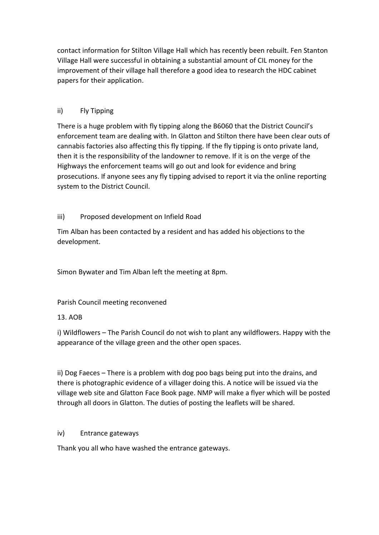contact information for Stilton Village Hall which has recently been rebuilt. Fen Stanton Village Hall were successful in obtaining a substantial amount of CIL money for the improvement of their village hall therefore a good idea to research the HDC cabinet papers for their application.

# ii) Fly Tipping

There is a huge problem with fly tipping along the B6060 that the District Council's enforcement team are dealing with. In Glatton and Stilton there have been clear outs of cannabis factories also affecting this fly tipping. If the fly tipping is onto private land, then it is the responsibility of the landowner to remove. If it is on the verge of the Highways the enforcement teams will go out and look for evidence and bring prosecutions. If anyone sees any fly tipping advised to report it via the online reporting system to the District Council.

# iii) Proposed development on Infield Road

Tim Alban has been contacted by a resident and has added his objections to the development.

Simon Bywater and Tim Alban left the meeting at 8pm.

Parish Council meeting reconvened

# 13. AOB

i) Wildflowers – The Parish Council do not wish to plant any wildflowers. Happy with the appearance of the village green and the other open spaces.

ii) Dog Faeces – There is a problem with dog poo bags being put into the drains, and there is photographic evidence of a villager doing this. A notice will be issued via the village web site and Glatton Face Book page. NMP will make a flyer which will be posted through all doors in Glatton. The duties of posting the leaflets will be shared.

# iv) Entrance gateways

Thank you all who have washed the entrance gateways.